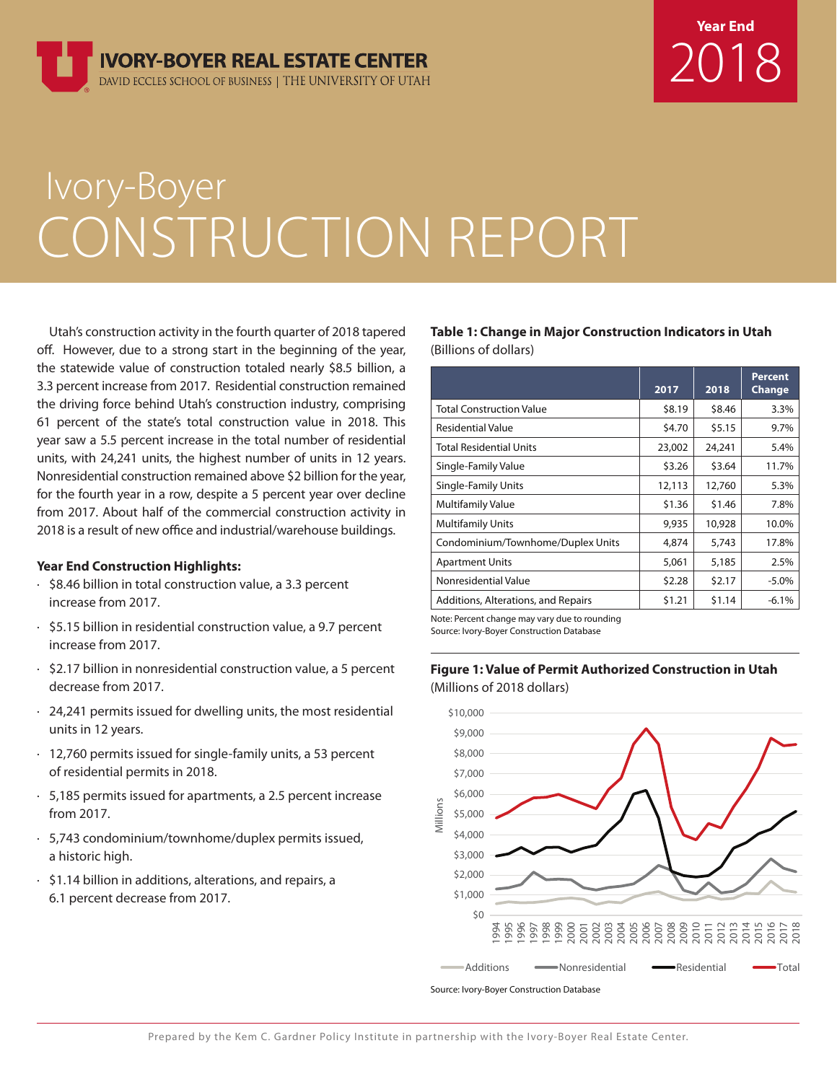



# Ivory-Boyer CONSTRUCTION REPORT

Utah's construction activity in the fourth quarter of 2018 tapered off. However, due to a strong start in the beginning of the year, the statewide value of construction totaled nearly \$8.5 billion, a 3.3 percent increase from 2017. Residential construction remained the driving force behind Utah's construction industry, comprising 61 percent of the state's total construction value in 2018. This year saw a 5.5 percent increase in the total number of residential units, with 24,241 units, the highest number of units in 12 years. Nonresidential construction remained above \$2 billion for the year, for the fourth year in a row, despite a 5 percent year over decline from 2017. About half of the commercial construction activity in 2018 is a result of new office and industrial/warehouse buildings.

#### **Year End Construction Highlights:**

- · \$8.46 billion in total construction value, a 3.3 percent increase from 2017.
- · \$5.15 billion in residential construction value, a 9.7 percent increase from 2017.
- · \$2.17 billion in nonresidential construction value, a 5 percent decrease from 2017.
- · 24,241 permits issued for dwelling units, the most residential units in 12 years.
- · 12,760 permits issued for single-family units, a 53 percent of residential permits in 2018.
- · 5,185 permits issued for apartments, a 2.5 percent increase from 2017.
- · 5,743 condominium/townhome/duplex permits issued, a historic high.
- · \$1.14 billion in additions, alterations, and repairs, a 6.1 percent decrease from 2017.

#### **Table 1: Change in Major Construction Indicators in Utah**  (Billions of dollars)

|                                     | 2017   | 2018   | <b>Percent</b><br><b>Change</b> |
|-------------------------------------|--------|--------|---------------------------------|
| <b>Total Construction Value</b>     | \$8.19 | \$8.46 | 3.3%                            |
| <b>Residential Value</b>            | \$4.70 | \$5.15 | 9.7%                            |
| Total Residential Units             | 23,002 | 24,241 | 5.4%                            |
| Single-Family Value                 | \$3.26 | \$3.64 | 11.7%                           |
| Single-Family Units                 | 12,113 | 12,760 | 5.3%                            |
| <b>Multifamily Value</b>            | \$1.36 | \$1.46 | 7.8%                            |
| <b>Multifamily Units</b>            | 9,935  | 10,928 | 10.0%                           |
| Condominium/Townhome/Duplex Units   | 4,874  | 5,743  | 17.8%                           |
| <b>Apartment Units</b>              | 5,061  | 5,185  | 2.5%                            |
| Nonresidential Value                | \$2.28 | \$2.17 | $-5.0\%$                        |
| Additions, Alterations, and Repairs | \$1.21 | \$1.14 | $-6.1%$                         |

Note: Percent change may vary due to rounding Source: Ivory-Boyer Construction Database

**Figure 1: Value of Permit Authorized Construction in Utah** (Millions of 2018 dollars)

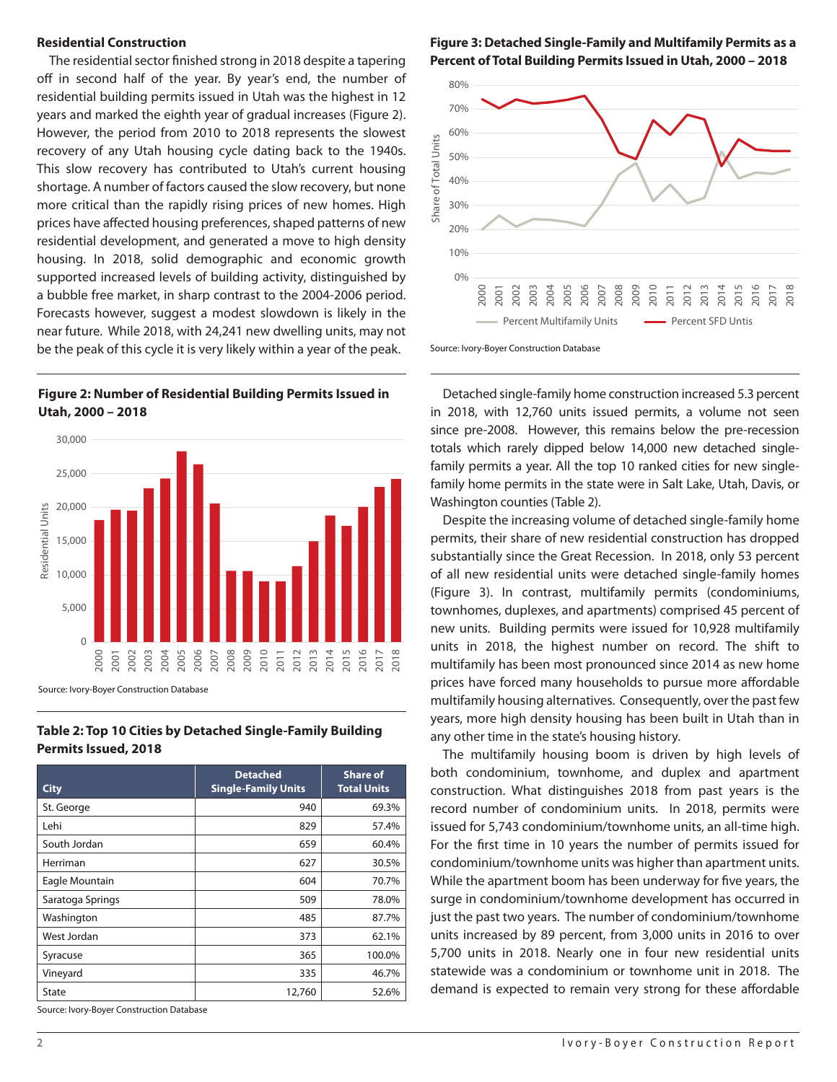#### **Residential Construction**

The residential sector finished strong in 2018 despite a tapering off in second half of the year. By year's end, the number of residential building permits issued in Utah was the highest in 12 years and marked the eighth year of gradual increases (Figure 2). However, the period from 2010 to 2018 represents the slowest recovery of any Utah housing cycle dating back to the 1940s. This slow recovery has contributed to Utah's current housing shortage. A number of factors caused the slow recovery, but none more critical than the rapidly rising prices of new homes. High prices have affected housing preferences, shaped patterns of new residential development, and generated a move to high density housing. In 2018, solid demographic and economic growth supported increased levels of building activity, distinguished by a bubble free market, in sharp contrast to the 2004-2006 period. Forecasts however, suggest a modest slowdown is likely in the near future. While 2018, with 24,241 new dwelling units, may not be the peak of this cycle it is very likely within a year of the peak.

#### **Figure 2: Number of Residential Building Permits Issued in Utah, 2000 – 2018**



Source: Ivory-Boyer Construction Database

# Table 2: Top 10 Cities by Detached Single-Family Building **Permits Issued, 2018**

| <b>City</b>      | <b>Detached</b><br><b>Single-Family Units</b> | <b>Share of</b><br><b>Total Units</b> |
|------------------|-----------------------------------------------|---------------------------------------|
| St. George       | 940                                           | 69.3%                                 |
| Lehi             | 829                                           | 57.4%                                 |
| South Jordan     | 659                                           | 60.4%                                 |
| Herriman         | 627                                           | 30.5%                                 |
| Eagle Mountain   | 604                                           | 70.7%                                 |
| Saratoga Springs | 509                                           | 78.0%                                 |
| Washington       | 485                                           | 87.7%                                 |
| West Jordan      | 373                                           | 62.1%                                 |
| Syracuse         | 365                                           | 100.0%                                |
| Vineyard         | 335                                           | 46.7%                                 |
| State            | 12,760                                        | 52.6%                                 |

Source: Ivory-Boyer Construction Database

#### **Figure 3: Detached Single-Family and Multifamily Permits as a Percent of Total Building Permits Issued in Utah, 2000 – 2018**





Detached single-family home construction increased 5.3 percent in 2018, with 12,760 units issued permits, a volume not seen since pre-2008. However, this remains below the pre-recession totals which rarely dipped below 14,000 new detached singlefamily permits a year. All the top 10 ranked cities for new singlefamily home permits in the state were in Salt Lake, Utah, Davis, or Washington counties (Table 2).

Despite the increasing volume of detached single-family home permits, their share of new residential construction has dropped substantially since the Great Recession. In 2018, only 53 percent of all new residential units were detached single-family homes (Figure 3). In contrast, multifamily permits (condominiums, townhomes, duplexes, and apartments) comprised 45 percent of new units. Building permits were issued for 10,928 multifamily units in 2018, the highest number on record. The shift to multifamily has been most pronounced since 2014 as new home prices have forced many households to pursue more affordable multifamily housing alternatives. Consequently, over the past few years, more high density housing has been built in Utah than in any other time in the state's housing history.

The multifamily housing boom is driven by high levels of both condominium, townhome, and duplex and apartment construction. What distinguishes 2018 from past years is the record number of condominium units. In 2018, permits were issued for 5,743 condominium/townhome units, an all-time high. For the first time in 10 years the number of permits issued for condominium/townhome units was higher than apartment units. While the apartment boom has been underway for five years, the surge in condominium/townhome development has occurred in just the past two years. The number of condominium/townhome units increased by 89 percent, from 3,000 units in 2016 to over 5,700 units in 2018. Nearly one in four new residential units statewide was a condominium or townhome unit in 2018. The demand is expected to remain very strong for these affordable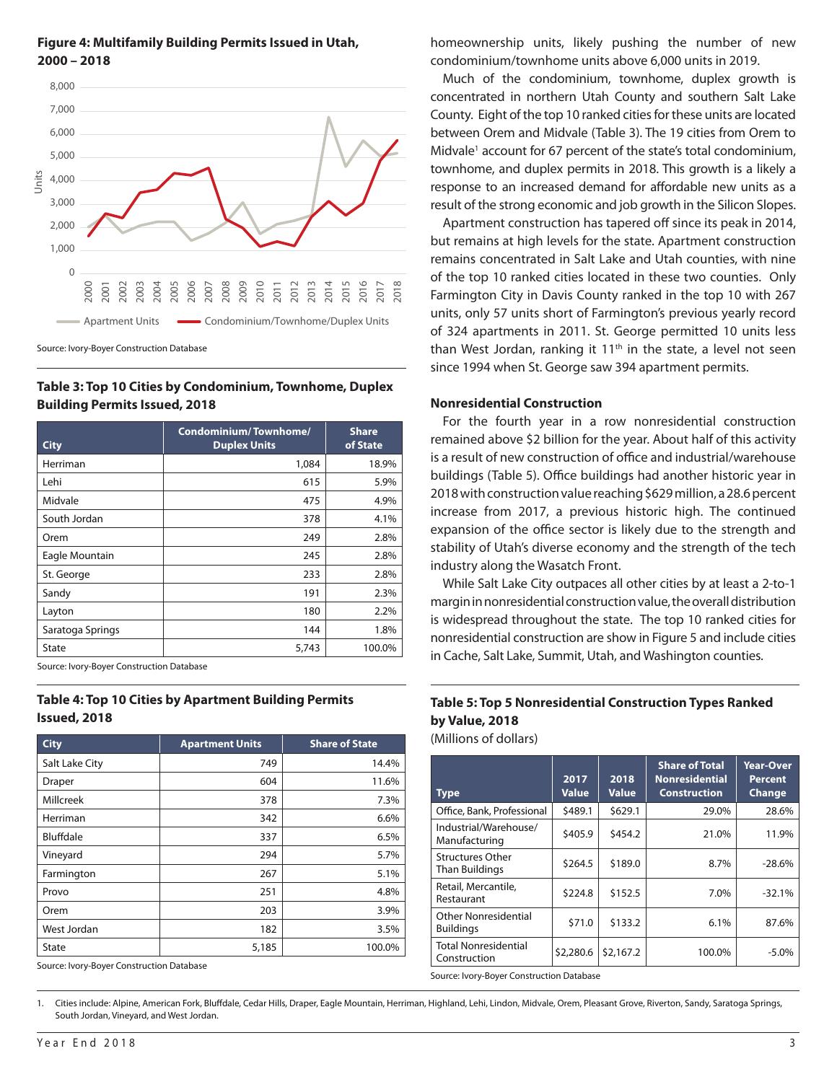



Source: Ivory-Boyer Construction Database

#### Table 3: Top 10 Cities by Condominium, Townhome, Duplex **Building Permits Issued, 2018**

| <b>City</b>      | Condominium/Townhome/<br><b>Duplex Units</b> | <b>Share</b><br>of State |
|------------------|----------------------------------------------|--------------------------|
| Herriman         | 1,084                                        | 18.9%                    |
| Lehi             | 615                                          | 5.9%                     |
| Midvale          | 475                                          | 4.9%                     |
| South Jordan     | 378                                          | 4.1%                     |
| Orem             | 249                                          | 2.8%                     |
| Eagle Mountain   | 245                                          | 2.8%                     |
| St. George       | 233                                          | 2.8%                     |
| Sandy            | 191                                          | 2.3%                     |
| Layton           | 180                                          | 2.2%                     |
| Saratoga Springs | 144                                          | 1.8%                     |
| State            | 5,743                                        | 100.0%                   |

Source: Ivory-Boyer Construction Database

## **Table 4: Top 10 Cities by Apartment Building Permits Issued, 2018**

| <b>City</b>    | <b>Apartment Units</b> | <b>Share of State</b> |
|----------------|------------------------|-----------------------|
| Salt Lake City | 749                    | 14.4%                 |
| Draper         | 604                    | 11.6%                 |
| Millcreek      | 378                    | 7.3%                  |
| Herriman       | 342                    | 6.6%                  |
| Bluffdale      | 337                    | 6.5%                  |
| Vineyard       | 294                    | 5.7%                  |
| Farmington     | 267                    | 5.1%                  |
| Provo          | 251                    | 4.8%                  |
| Orem           | 203                    | 3.9%                  |
| West Jordan    | 182                    | 3.5%                  |
| State          | 5,185                  | 100.0%                |

Source: Ivory-Boyer Construction Database

homeownership units, likely pushing the number of new condominium/townhome units above 6,000 units in 2019.

Much of the condominium, townhome, duplex growth is concentrated in northern Utah County and southern Salt Lake County. Eight of the top 10 ranked cities for these units are located between Orem and Midvale (Table 3). The 19 cities from Orem to Midvale<sup>1</sup> account for 67 percent of the state's total condominium, townhome, and duplex permits in 2018. This growth is a likely a response to an increased demand for affordable new units as a result of the strong economic and job growth in the Silicon Slopes.

Apartment construction has tapered off since its peak in 2014, but remains at high levels for the state. Apartment construction remains concentrated in Salt Lake and Utah counties, with nine of the top 10 ranked cities located in these two counties. Only Farmington City in Davis County ranked in the top 10 with 267 units, only 57 units short of Farmington's previous yearly record of 324 apartments in 2011. St. George permitted 10 units less than West Jordan, ranking it  $11<sup>th</sup>$  in the state, a level not seen since 1994 when St. George saw 394 apartment permits.

#### **Nonresidential Construction**

For the fourth year in a row nonresidential construction remained above \$2 billion for the year. About half of this activity is a result of new construction of office and industrial/warehouse buildings (Table 5). Office buildings had another historic year in 2018 with construction value reaching \$629 million, a 28.6 percent increase from 2017, a previous historic high. The continued expansion of the office sector is likely due to the strength and stability of Utah's diverse economy and the strength of the tech industry along the Wasatch Front.

While Salt Lake City outpaces all other cities by at least a 2-to-1 margin in nonresidential construction value, the overall distribution is widespread throughout the state. The top 10 ranked cities for nonresidential construction are show in Figure 5 and include cities in Cache, Salt Lake, Summit, Utah, and Washington counties.

# **Table 5: Top 5 Nonresidential Construction Types Ranked by Value, 2018**

(Millions of dollars)

| <b>Type</b>                                      | 2017<br><b>Value</b> | 2018<br><b>Value</b> | <b>Share of Total</b><br><b>Nonresidential</b><br><b>Construction</b> | <b>Year-Over</b><br><b>Percent</b><br>Change |
|--------------------------------------------------|----------------------|----------------------|-----------------------------------------------------------------------|----------------------------------------------|
| Office, Bank, Professional                       | \$489.1              | \$629.1              | 29.0%                                                                 | 28.6%                                        |
| Industrial/Warehouse/<br>Manufacturing           | \$405.9              | \$454.2              | 21.0%                                                                 | 11.9%                                        |
| <b>Structures Other</b><br><b>Than Buildings</b> | \$264.5              | \$189.0              | 8.7%                                                                  | $-28.6%$                                     |
| Retail, Mercantile,<br>Restaurant                | \$224.8              | \$152.5              | 7.0%                                                                  | $-32.1%$                                     |
| Other Nonresidential<br><b>Buildings</b>         | \$71.0               | \$133.2              | 6.1%                                                                  | 87.6%                                        |
| <b>Total Nonresidential</b><br>Construction      | \$2,280.6            | \$2,167.2            | 100.0%                                                                | $-5.0\%$                                     |
| Source: Ivory-Boyer Construction Database        |                      |                      |                                                                       |                                              |

1. Cities include: Alpine, American Fork, Bluffdale, Cedar Hills, Draper, Eagle Mountain, Herriman, Highland, Lehi, Lindon, Midvale, Orem, Pleasant Grove, Riverton, Sandy, Saratoga Springs, South Jordan, Vineyard, and West Jordan.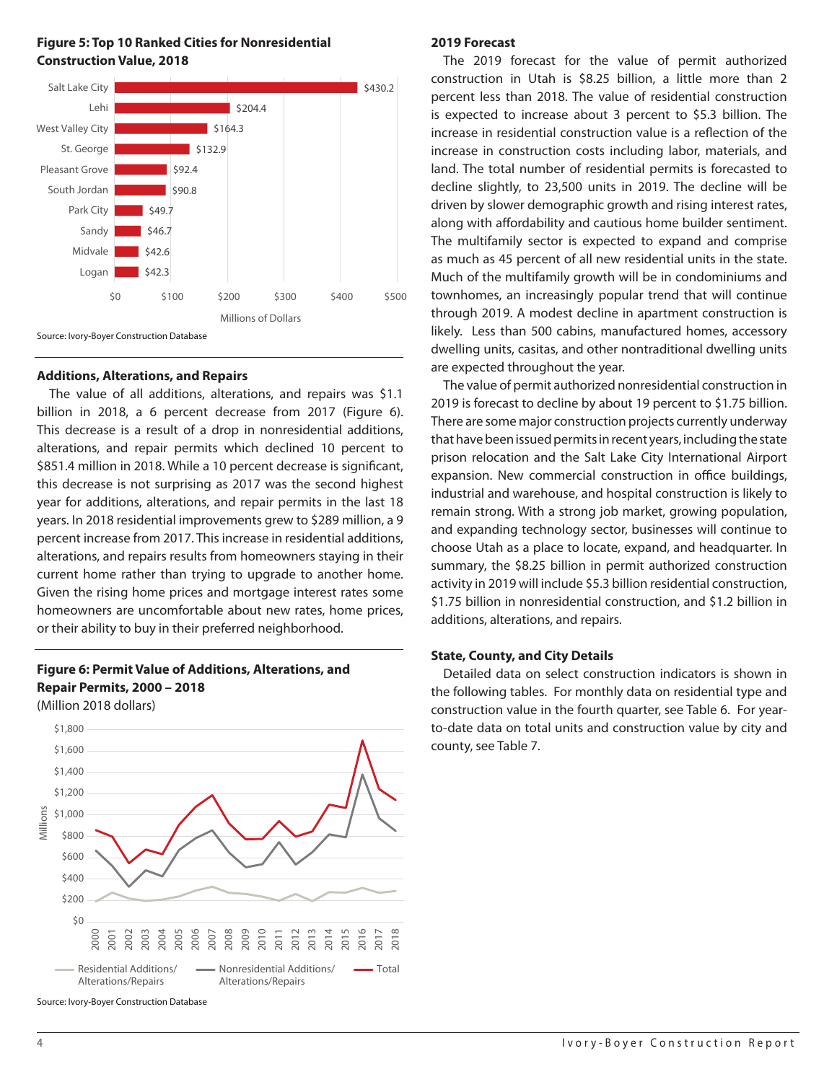## **Figure 5: Top 10 Ranked Cities for Nonresidential Construction Value, 2018**



#### **Additions, Alterations, and Repairs**

The value of all additions, alterations, and repairs was \$1.1 billion in 2018, a 6 percent decrease from 2017 (Figure 6). This decrease is a result of a drop in nonresidential additions, alterations, and repair permits which declined 10 percent to \$851.4 million in 2018. While a 10 percent decrease is significant, this decrease is not surprising as 2017 was the second highest year for additions, alterations, and repair permits in the last 18 years. In 2018 residential improvements grew to \$289 million, a 9 percent increase from 2017. This increase in residential additions, alterations, and repairs results from homeowners staying in their current home rather than trying to upgrade to another home. Given the rising home prices and mortgage interest rates some homeowners are uncomfortable about new rates, home prices, or their ability to buy in their preferred neighborhood.

# **Figure 6: Permit Value of Additions, Alterations, and Repair Permits, 2000 – 2018**

(Million 2018 dollars)



Source: Ivory-Boyer Construction Database

#### **2019 Forecast**

The 2019 forecast for the value of permit authorized construction in Utah is \$8.25 billion, a little more than 2 percent less than 2018. The value of residential construction is expected to increase about 3 percent to \$5.3 billion. The increase in residential construction value is a reflection of the increase in construction costs including labor, materials, and land. The total number of residential permits is forecasted to decline slightly, to 23,500 units in 2019. The decline will be driven by slower demographic growth and rising interest rates, along with affordability and cautious home builder sentiment. The multifamily sector is expected to expand and comprise as much as 45 percent of all new residential units in the state. Much of the multifamily growth will be in condominiums and townhomes, an increasingly popular trend that will continue through 2019. A modest decline in apartment construction is likely. Less than 500 cabins, manufactured homes, accessory dwelling units, casitas, and other nontraditional dwelling units are expected throughout the year.

The value of permit authorized nonresidential construction in 2019 is forecast to decline by about 19 percent to \$1.75 billion. There are some major construction projects currently underway that have been issued permits in recent years, including the state prison relocation and the Salt Lake City International Airport expansion. New commercial construction in office buildings, industrial and warehouse, and hospital construction is likely to remain strong. With a strong job market, growing population, and expanding technology sector, businesses will continue to choose Utah as a place to locate, expand, and headquarter. In summary, the \$8.25 billion in permit authorized construction activity in 2019 will include \$5.3 billion residential construction, \$1.75 billion in nonresidential construction, and \$1.2 billion in additions, alterations, and repairs.

#### **State, County, and City Details**

Detailed data on select construction indicators is shown in the following tables. For monthly data on residential type and construction value in the fourth quarter, see Table 6. For yearto-date data on total units and construction value by city and county, see Table 7.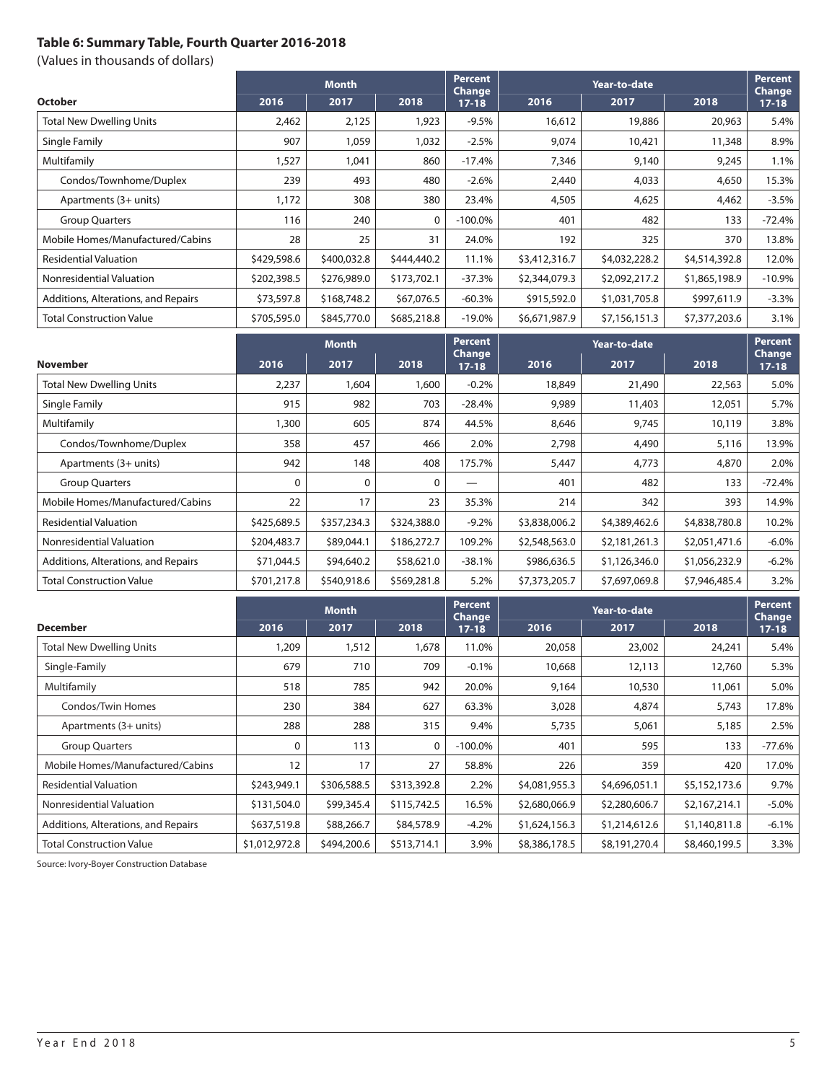# **Table 6: Summary Table, Fourth Quarter 2016-2018**

(Values in thousands of dollars)

|                                     |             | <b>Month</b> |             | <b>Percent</b><br><b>Change</b> | Year-to-date  |               |               | <b>Percent</b><br><b>Change</b> |
|-------------------------------------|-------------|--------------|-------------|---------------------------------|---------------|---------------|---------------|---------------------------------|
| <b>October</b>                      | 2016        | 2017         | 2018        | $17-18$                         | 2016          | 2017          | 2018          | $17-18$                         |
| <b>Total New Dwelling Units</b>     | 2,462       | 2,125        | 1,923       | $-9.5%$                         | 16,612        | 19,886        | 20,963        | 5.4%                            |
| Single Family                       | 907         | 1,059        | 1,032       | $-2.5%$                         | 9,074         | 10,421        | 11,348        | 8.9%                            |
| Multifamily                         | 1,527       | 1,041        | 860         | $-17.4%$                        | 7,346         | 9,140         | 9,245         | 1.1%                            |
| Condos/Townhome/Duplex              | 239         | 493          | 480         | $-2.6%$                         | 2,440         | 4,033         | 4,650         | 15.3%                           |
| Apartments (3+ units)               | 1,172       | 308          | 380         | 23.4%                           | 4,505         | 4,625         | 4,462         | $-3.5%$                         |
| <b>Group Quarters</b>               | 116         | 240          | 0           | $-100.0\%$                      | 401           | 482           | 133           | $-72.4%$                        |
| Mobile Homes/Manufactured/Cabins    | 28          | 25           | 31          | 24.0%                           | 192           | 325           | 370           | 13.8%                           |
| <b>Residential Valuation</b>        | \$429,598.6 | \$400,032.8  | \$444,440.2 | 11.1%                           | \$3,412,316.7 | \$4,032,228.2 | \$4,514,392.8 | 12.0%                           |
| Nonresidential Valuation            | \$202,398.5 | \$276,989.0  | \$173,702.1 | -37.3%                          | \$2,344,079.3 | \$2,092,217.2 | \$1,865,198.9 | $-10.9%$                        |
| Additions, Alterations, and Repairs | \$73,597.8  | \$168,748.2  | \$67,076.5  | $-60.3%$                        | \$915,592.0   | \$1,031,705.8 | \$997,611.9   | $-3.3%$                         |
| <b>Total Construction Value</b>     | \$705,595.0 | \$845,770.0  | \$685,218.8 | $-19.0\%$                       | \$6,671,987.9 | \$7,156,151.3 | \$7,377,203.6 | 3.1%                            |

|                                     |             | <b>Month</b> | <b>Percent</b><br>Year-to-date |                          |               |               | <b>Percent</b> |                            |
|-------------------------------------|-------------|--------------|--------------------------------|--------------------------|---------------|---------------|----------------|----------------------------|
| <b>November</b>                     | 2016        | 2017         | 2018                           | <b>Change</b><br>$17-18$ | 2016          | 2017          | 2018           | <b>Change</b><br>$17 - 18$ |
| <b>Total New Dwelling Units</b>     | 2,237       | 1,604        | 1,600                          | $-0.2%$                  | 18,849        | 21,490        | 22,563         | 5.0%                       |
| Single Family                       | 915         | 982          | 703                            | $-28.4%$                 | 9,989         | 11,403        | 12,051         | 5.7%                       |
| Multifamily                         | 1,300       | 605          | 874                            | 44.5%                    | 8,646         | 9,745         | 10,119         | 3.8%                       |
| Condos/Townhome/Duplex              | 358         | 457          | 466                            | 2.0%                     | 2,798         | 4,490         | 5,116          | 13.9%                      |
| Apartments (3+ units)               | 942         | 148          | 408                            | 175.7%                   | 5,447         | 4,773         | 4,870          | 2.0%                       |
| <b>Group Quarters</b>               | 0           | 0            | $\Omega$                       |                          | 401           | 482           | 133            | $-72.4%$                   |
| Mobile Homes/Manufactured/Cabins    | 22          | 17           | 23                             | 35.3%                    | 214           | 342           | 393            | 14.9%                      |
| <b>Residential Valuation</b>        | \$425,689.5 | \$357,234.3  | \$324,388.0                    | $-9.2%$                  | \$3,838,006.2 | \$4,389,462.6 | \$4,838,780.8  | 10.2%                      |
| Nonresidential Valuation            | \$204,483.7 | \$89,044.1   | \$186,272.7                    | 109.2%                   | \$2,548,563.0 | \$2,181,261.3 | \$2,051,471.6  | $-6.0\%$                   |
| Additions, Alterations, and Repairs | \$71,044.5  | \$94,640.2   | \$58,621.0                     | $-38.1%$                 | \$986,636.5   | \$1,126,346.0 | \$1,056,232.9  | $-6.2\%$                   |
| <b>Total Construction Value</b>     | \$701,217.8 | \$540,918.6  | \$569,281.8                    | 5.2%                     | \$7,373,205.7 | \$7,697,069.8 | \$7,946,485.4  | 3.2%                       |

|                                     | <b>Month</b>  |             |             | <b>Percent</b><br><b>Change</b> | Year-to-date  |               |               | <b>Percent</b><br>Change |
|-------------------------------------|---------------|-------------|-------------|---------------------------------|---------------|---------------|---------------|--------------------------|
| <b>December</b>                     | 2016          | 2017        | 2018        | $17 - 18$                       | 2016          | 2017          | 2018          | $17 - 18$                |
| <b>Total New Dwelling Units</b>     | 1,209         | 1,512       | 1,678       | 11.0%                           | 20,058        | 23,002        | 24,241        | 5.4%                     |
| Single-Family                       | 679           | 710         | 709         | $-0.1%$                         | 10,668        | 12,113        | 12,760        | 5.3%                     |
| Multifamily                         | 518           | 785         | 942         | 20.0%                           | 9,164         | 10,530        | 11,061        | 5.0%                     |
| Condos/Twin Homes                   | 230           | 384         | 627         | 63.3%                           | 3,028         | 4,874         | 5,743         | 17.8%                    |
| Apartments (3+ units)               | 288           | 288         | 315         | 9.4%                            | 5,735         | 5,061         | 5,185         | 2.5%                     |
| <b>Group Quarters</b>               | 0             | 113         | 0           | $-100.0\%$                      | 401           | 595           | 133           | $-77.6%$                 |
| Mobile Homes/Manufactured/Cabins    | 12            | 17          | 27          | 58.8%                           | 226           | 359           | 420           | 17.0%                    |
| <b>Residential Valuation</b>        | \$243,949.1   | \$306,588.5 | \$313,392.8 | 2.2%                            | \$4,081,955.3 | \$4,696,051.1 | \$5,152,173.6 | 9.7%                     |
| Nonresidential Valuation            | \$131,504.0   | \$99,345.4  | \$115,742.5 | 16.5%                           | \$2,680,066.9 | \$2,280,606.7 | \$2,167,214.1 | $-5.0\%$                 |
| Additions, Alterations, and Repairs | \$637,519.8   | \$88,266.7  | \$84,578.9  | $-4.2%$                         | \$1,624,156.3 | \$1,214,612.6 | \$1,140,811.8 | $-6.1%$                  |
| <b>Total Construction Value</b>     | \$1,012,972.8 | \$494,200.6 | \$513,714.1 | 3.9%                            | \$8,386,178.5 | \$8,191,270.4 | \$8,460,199.5 | 3.3%                     |

Source: Ivory-Boyer Construction Database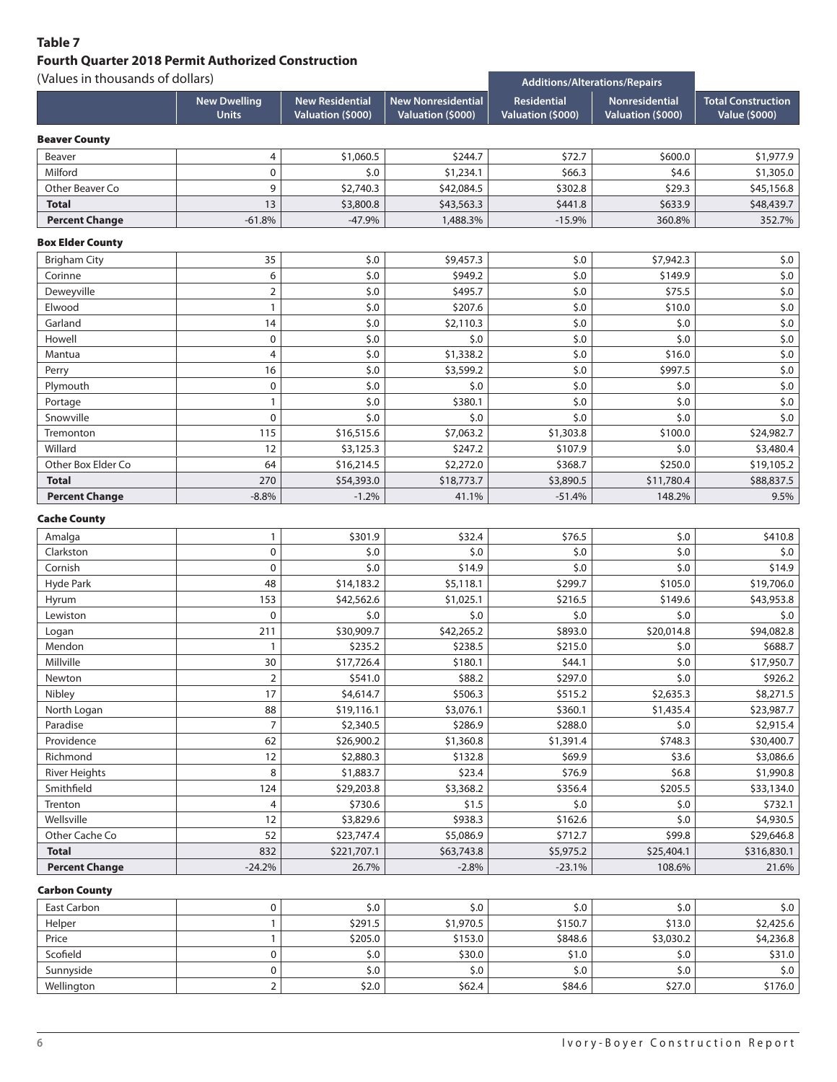# **Table 7 Fourth Quarter 2018 Permit Authorized Construction**

(Values in thousands of dollars)

| (Values in thousands of dollars)   |                                     |                                             |                                                | <b>Additions/Alterations/Repairs</b>    |                                     |                                            |
|------------------------------------|-------------------------------------|---------------------------------------------|------------------------------------------------|-----------------------------------------|-------------------------------------|--------------------------------------------|
|                                    | <b>New Dwelling</b><br><b>Units</b> | <b>New Residential</b><br>Valuation (\$000) | <b>New Nonresidential</b><br>Valuation (\$000) | <b>Residential</b><br>Valuation (\$000) | Nonresidential<br>Valuation (\$000) | <b>Total Construction</b><br>Value (\$000) |
| <b>Beaver County</b>               |                                     |                                             |                                                |                                         |                                     |                                            |
| Beaver                             | 4                                   | \$1,060.5                                   | \$244.7                                        | \$72.7                                  | \$600.0                             | \$1,977.9                                  |
| Milford                            | $\mathbf 0$                         | \$.0                                        | \$1,234.1                                      | \$66.3                                  | \$4.6                               | \$1,305.0                                  |
| Other Beaver Co                    | 9                                   | \$2,740.3                                   | \$42,084.5                                     | \$302.8                                 | \$29.3                              | \$45,156.8                                 |
| <b>Total</b>                       | 13                                  | \$3,800.8                                   | \$43,563.3                                     | \$441.8                                 | \$633.9                             | \$48,439.7                                 |
| <b>Percent Change</b>              | $-61.8%$                            | $-47.9%$                                    | 1,488.3%                                       | $-15.9%$                                | 360.8%                              | 352.7%                                     |
| <b>Box Elder County</b>            |                                     |                                             |                                                |                                         |                                     |                                            |
| <b>Brigham City</b>                | 35                                  | \$.0                                        | \$9,457.3                                      | \$.0                                    | \$7,942.3                           | \$.0                                       |
| Corinne                            | 6                                   | \$.0                                        | \$949.2                                        | \$.0                                    | \$149.9                             | $$.0$                                      |
| Deweyville                         | $\overline{2}$                      | \$.0                                        | \$495.7                                        | \$.0                                    | \$75.5                              | $$.0$                                      |
| Elwood                             | $\mathbf{1}$                        | \$.0                                        | \$207.6                                        | \$.0                                    | \$10.0                              | \$.0                                       |
| Garland                            | 14                                  | \$.0                                        | \$2,110.3                                      | \$.0                                    | \$.0                                | $$.0$                                      |
| Howell                             | 0                                   | \$.0                                        | \$.0                                           | \$.0                                    | \$.0                                | $$.0$                                      |
| Mantua                             | 4                                   | \$.0                                        | \$1,338.2                                      | \$.0                                    | \$16.0                              | $$.0$                                      |
| Perry                              | 16                                  | \$.0                                        | \$3,599.2                                      | \$.0                                    | \$997.5                             | \$.0                                       |
| Plymouth                           | 0                                   | \$.0                                        | \$.0                                           | \$.0                                    | \$.0                                | $$.0$                                      |
| Portage                            | $\mathbf{1}$                        | \$.0                                        | \$380.1                                        | \$.0                                    | \$.0                                | \$.0                                       |
| Snowville                          | 0                                   | \$.0                                        | \$.0                                           | \$.0                                    | \$.0                                | \$.0                                       |
| Tremonton                          | 115                                 | \$16,515.6                                  | \$7,063.2                                      | \$1,303.8                               | \$100.0                             | \$24,982.7                                 |
| Willard                            | 12                                  | \$3,125.3                                   | \$247.2                                        | \$107.9                                 | \$.0                                | \$3,480.4                                  |
| Other Box Elder Co                 | 64                                  | \$16,214.5                                  | \$2,272.0                                      | \$368.7                                 | \$250.0                             | \$19,105.2                                 |
| <b>Total</b>                       | 270                                 | \$54,393.0                                  | \$18,773.7                                     | \$3,890.5                               | \$11,780.4                          | \$88,837.5                                 |
| <b>Percent Change</b>              | $-8.8%$                             | $-1.2%$                                     | 41.1%                                          | $-51.4%$                                | 148.2%                              | 9.5%                                       |
|                                    |                                     |                                             |                                                |                                         |                                     |                                            |
| <b>Cache County</b>                |                                     |                                             |                                                |                                         |                                     |                                            |
| Amalga<br>Clarkston                | $\mathbf{1}$<br>0                   | \$301.9<br>\$.0                             | \$32.4<br>\$.0                                 | \$76.5<br>\$.0                          | \$.0<br>\$.0                        | \$410.8                                    |
| Cornish                            | 0                                   | \$.0                                        | \$14.9                                         | \$.0                                    | \$.0                                | \$.0<br>\$14.9                             |
|                                    | 48                                  |                                             |                                                | \$299.7                                 | \$105.0                             |                                            |
| Hyde Park                          | 153                                 | \$14,183.2<br>\$42,562.6                    | \$5,118.1<br>\$1,025.1                         | \$216.5                                 | \$149.6                             | \$19,706.0<br>\$43,953.8                   |
| Hyrum<br>Lewiston                  | 0                                   | \$.0                                        | \$.0                                           | \$.0                                    | \$.0                                | \$.0                                       |
|                                    |                                     | \$30,909.7                                  | \$42,265.2                                     | \$893.0                                 | \$20,014.8                          | \$94,082.8                                 |
| Logan<br>Mendon                    | 211                                 | \$235.2                                     | \$238.5                                        | \$215.0                                 | \$.0                                | \$688.7                                    |
| Millville                          | 1<br>30                             | \$17,726.4                                  | \$180.1                                        | \$44.1                                  |                                     | \$17,950.7                                 |
|                                    | $\overline{2}$                      | \$541.0                                     | \$88.2                                         | \$297.0                                 | \$.0<br>\$.0                        | \$926.2                                    |
| Newton<br>Nibley                   | 17                                  | \$4,614.7                                   | \$506.3                                        | \$515.2                                 |                                     | \$8,271.5                                  |
|                                    | 88                                  |                                             |                                                | \$360.1                                 | \$2,635.3<br>\$1,435.4              |                                            |
| North Logan<br>Paradise            | $\overline{7}$                      | \$19,116.1<br>\$2,340.5                     | \$3,076.1<br>\$286.9                           | \$288.0                                 | \$.0                                | \$23,987.7<br>\$2,915.4                    |
| Providence                         | 62                                  | \$26,900.2                                  | \$1,360.8                                      | \$1,391.4                               | \$748.3                             | \$30,400.7                                 |
| Richmond                           | 12                                  |                                             | \$132.8                                        |                                         | \$3.6                               |                                            |
|                                    | 8                                   | \$2,880.3<br>\$1,883.7                      |                                                | \$69.9<br>\$76.9                        | \$6.8\$                             | \$3,086.6                                  |
| <b>River Heights</b><br>Smithfield | 124                                 |                                             | \$23.4                                         |                                         |                                     | \$1,990.8<br>\$33,134.0                    |
| Trenton                            |                                     | \$29,203.8<br>\$730.6                       | \$3,368.2                                      | \$356.4<br>\$.0                         | \$205.5                             | \$732.1                                    |
|                                    | 4                                   |                                             | \$1.5                                          |                                         | \$.0<br>\$.0                        |                                            |
| Wellsville<br>Other Cache Co       | 12<br>52                            | \$3,829.6                                   | \$938.3                                        | \$162.6                                 | \$99.8                              | \$4,930.5                                  |
| <b>Total</b>                       | 832                                 | \$23,747.4                                  | \$5,086.9                                      | \$712.7                                 |                                     | \$29,646.8                                 |
| <b>Percent Change</b>              |                                     | \$221,707.1                                 | \$63,743.8                                     | \$5,975.2                               | \$25,404.1                          | \$316,830.1                                |
|                                    | $-24.2%$                            | 26.7%                                       | $-2.8%$                                        | $-23.1%$                                | 108.6%                              | 21.6%                                      |
| <b>Carbon County</b>               |                                     |                                             |                                                |                                         |                                     |                                            |
| East Carbon                        | 0                                   | \$.0                                        | \$.0                                           | \$.0                                    | \$.0                                | \$.0                                       |
| Helper                             | $\mathbf{1}$                        | \$291.5                                     | \$1,970.5                                      | \$150.7                                 | \$13.0                              | \$2,425.6                                  |
| Price                              | $\mathbf{1}$                        | \$205.0                                     | \$153.0                                        | \$848.6                                 | \$3,030.2                           | \$4,236.8                                  |
| Scofield                           | $\mathbf 0$                         | \$.0                                        | \$30.0                                         | \$1.0                                   | \$.0                                | \$31.0                                     |
| Sunnyside                          | $\pmb{0}$                           | \$.0                                        | \$.0                                           | $$.0$                                   | \$.0                                | \$.0                                       |
| Wellington                         | $\mathbf 2$                         | \$2.0                                       | \$62.4                                         | \$84.6                                  | \$27.0                              | \$176.0                                    |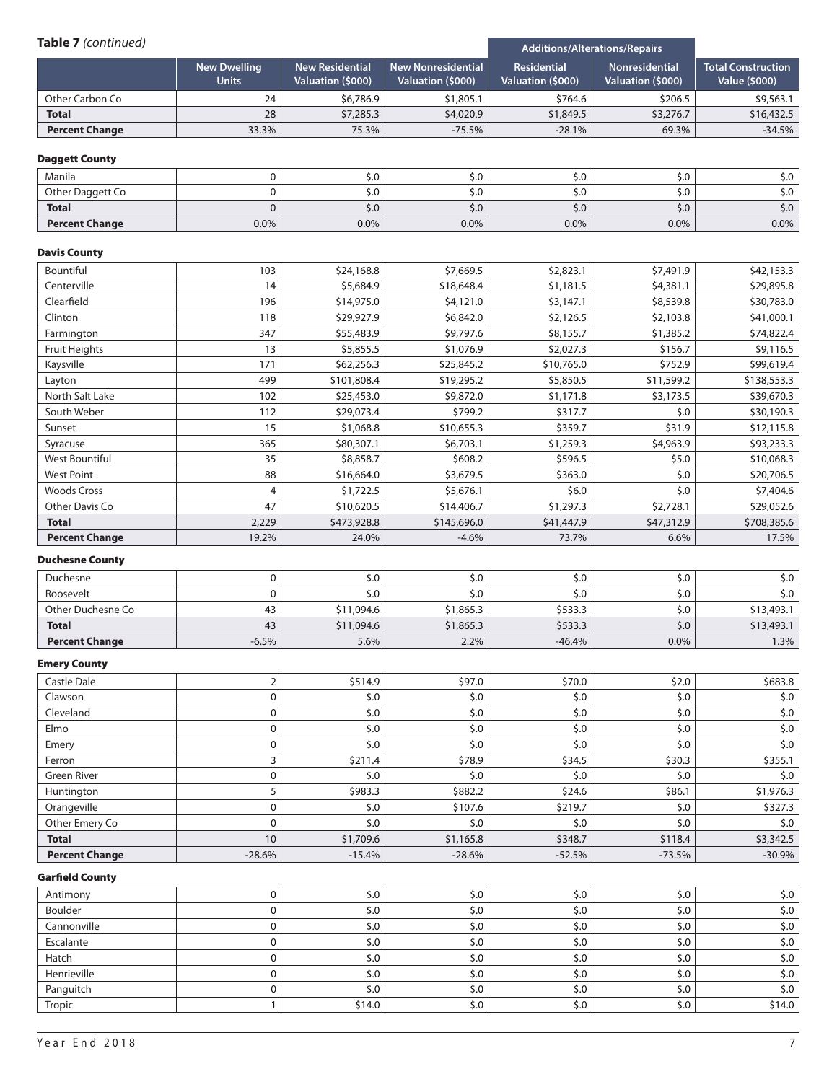# **Table 7** *(continued)*

| $i$ abic <i>I</i> (Continued) |                                     | Additions/Alterations/Repairs                      |                                                |                                         |                                            |                                                   |
|-------------------------------|-------------------------------------|----------------------------------------------------|------------------------------------------------|-----------------------------------------|--------------------------------------------|---------------------------------------------------|
|                               | <b>New Dwelling</b><br><b>Units</b> | <b>New Residential</b><br><b>Valuation (\$000)</b> | <b>New Nonresidential</b><br>Valuation (\$000) | <b>Residential</b><br>Valuation (\$000) | <b>Nonresidential</b><br>Valuation (\$000) | <b>Total Construction</b><br><b>Value (\$000)</b> |
| Other Carbon Co               | 24                                  | \$6,786.9                                          | \$1,805.1                                      | \$764.6                                 | \$206.5                                    | \$9,563.1                                         |
| <b>Total</b>                  | 28                                  | \$7,285.3                                          | \$4,020.9                                      | \$1,849.5                               | \$3,276.7                                  | \$16,432.5                                        |
| <b>Percent Change</b>         | 33.3%                               | 75.3%                                              | $-75.5%$                                       | $-28.1%$                                | 69.3%                                      | $-34.5%$                                          |

#### Daggett County

| Manila                |      | $\sim$<br>J.U | \$.0 | J.U  | J.U                   | \$.0 |
|-----------------------|------|---------------|------|------|-----------------------|------|
| Other Daggett Co      |      | $\sim$<br>J.U | \$.0 | J.U  | $\epsilon$<br>J.U     | \$.0 |
| <b>Total</b>          |      | \$.0          | \$.0 | J.U  | $\cdot$ $\sim$<br>J.U | \$.0 |
| <b>Percent Change</b> | 0.0% | 0.0%          | 0.0% | 0.0% | $0.0\%$               | 0.0% |

#### Davis County

| Bountiful             | 103   | \$24,168.8  | \$7,669.5   | \$2,823.1  | \$7,491.9  | \$42,153.3  |
|-----------------------|-------|-------------|-------------|------------|------------|-------------|
| Centerville           | 14    | \$5,684.9   | \$18,648.4  | \$1,181.5  | \$4,381.1  | \$29,895.8  |
| Clearfield            | 196   | \$14,975.0  | \$4,121.0   | \$3,147.1  | \$8,539.8  | \$30,783.0  |
| Clinton               | 118   | \$29,927.9  | \$6,842.0   | \$2,126.5  | \$2,103.8  | \$41,000.1  |
| Farmington            | 347   | \$55,483.9  | \$9,797.6   | \$8,155.7  | \$1,385.2  | \$74,822.4  |
| <b>Fruit Heights</b>  | 13    | \$5,855.5   | \$1,076.9   | \$2,027.3  | \$156.7    | \$9,116.5   |
| Kaysville             | 171   | \$62,256.3  | \$25,845.2  | \$10,765.0 | \$752.9    | \$99,619.4  |
| Layton                | 499   | \$101,808.4 | \$19,295.2  | \$5,850.5  | \$11,599.2 | \$138,553.3 |
| North Salt Lake       | 102   | \$25,453.0  | \$9,872.0   | \$1,171.8  | \$3,173.5  | \$39,670.3  |
| South Weber           | 112   | \$29,073.4  | \$799.2     | \$317.7    | \$.0       | \$30,190.3  |
| Sunset                | 15    | \$1,068.8   | \$10,655.3  | \$359.7    | \$31.9     | \$12,115.8  |
| Syracuse              | 365   | \$80,307.1  | \$6,703.1   | \$1,259.3  | \$4,963.9  | \$93,233.3  |
| West Bountiful        | 35    | \$8,858.7   | \$608.2     | \$596.5    | \$5.0      | \$10,068.3  |
| <b>West Point</b>     | 88    | \$16,664.0  | \$3,679.5   | \$363.0    | \$.0       | \$20,706.5  |
| <b>Woods Cross</b>    | 4     | \$1,722.5   | \$5,676.1   | \$6.0\$    | \$.0       | \$7,404.6   |
| Other Davis Co        | 47    | \$10,620.5  | \$14,406.7  | \$1,297.3  | \$2,728.1  | \$29,052.6  |
| <b>Total</b>          | 2,229 | \$473,928.8 | \$145,696.0 | \$41,447.9 | \$47,312.9 | \$708,385.6 |
| <b>Percent Change</b> | 19.2% | 24.0%       | $-4.6%$     | 73.7%      | 6.6%       | 17.5%       |

#### Duchesne County

| Duchesne              |         | \$.0       | \$.0      | J.U      | S.O     | \$.0       |
|-----------------------|---------|------------|-----------|----------|---------|------------|
| Roosevelt             |         | 5.0        | \$.0      | J.U      | S.O     | \$.0       |
| Other Duchesne Co     | 43      | \$11,094.6 | \$1,865.3 | \$533.3  | \$.0    | \$13,493.1 |
| <b>Total</b>          | 43      | \$11,094.6 | \$1,865.3 | \$533.3  | \$.0    | \$13,493.1 |
| <b>Percent Change</b> | $-6.5%$ | 5.6%       | 2.2%      | $-46.4%$ | $0.0\%$ | 1.3%       |

#### Emery County

| Castle Dale           |                 | \$514.9   | \$97.0    | \$70.0   | \$2.0    | \$683.8   |
|-----------------------|-----------------|-----------|-----------|----------|----------|-----------|
| Clawson               | 0               | \$.0      | \$.0      | \$.0     | \$.0     | \$.0      |
| Cleveland             | 0               | \$.0      | \$.0      | \$.0     | \$.0     | \$.0      |
| Elmo                  |                 | \$.0      | \$.0      | \$.0     | \$.0     | \$.0      |
| Emery                 |                 | \$.0      | \$.0      | \$.0     | \$.0     | \$.0      |
| Ferron                |                 | \$211.4   | \$78.9    | \$34.5   | \$30.3   | \$355.1   |
| <b>Green River</b>    |                 | \$.0      | \$.0      | \$.0     | \$.0     | \$.0      |
| Huntington            |                 | \$983.3   | \$882.2   | \$24.6   | \$86.1   | \$1,976.3 |
| Orangeville           |                 | \$.0      | \$107.6   | \$219.7  | \$.0     | \$327.3   |
| Other Emery Co        |                 | \$.0      | \$.0      | \$.0     | 5.0      | \$.0      |
| <b>Total</b>          | 10 <sup>°</sup> | \$1,709.6 | \$1,165.8 | \$348.7  | \$118.4  | \$3,342.5 |
| <b>Percent Change</b> | $-28.6%$        | $-15.4%$  | $-28.6%$  | $-52.5%$ | $-73.5%$ | $-30.9\%$ |

#### Garfield County

| Antimony    | 5.0    | \$.0 | \$.0 | \$.0 | \$.0              |
|-------------|--------|------|------|------|-------------------|
| Boulder     | \$.0   | \$.0 | \$.0 | \$.0 | S.O               |
| Cannonville | S.O    | \$.0 | \$.0 | S.O  | \$.0              |
| Escalante   | 5.0    | \$.0 | \$.0 | \$.0 | \$.0              |
| Hatch       | \$.0   | \$.0 | \$.0 | \$.0 | \$.0              |
| Henrieville | \$.0   | \$.0 | \$.0 | \$.0 | \$.0              |
| Panguitch   | \$.0   | \$.0 | \$.0 | 5.0  | \$.0 <sub>0</sub> |
| Tropic      | \$14.0 | \$.0 | \$.0 | \$.0 | \$14.0            |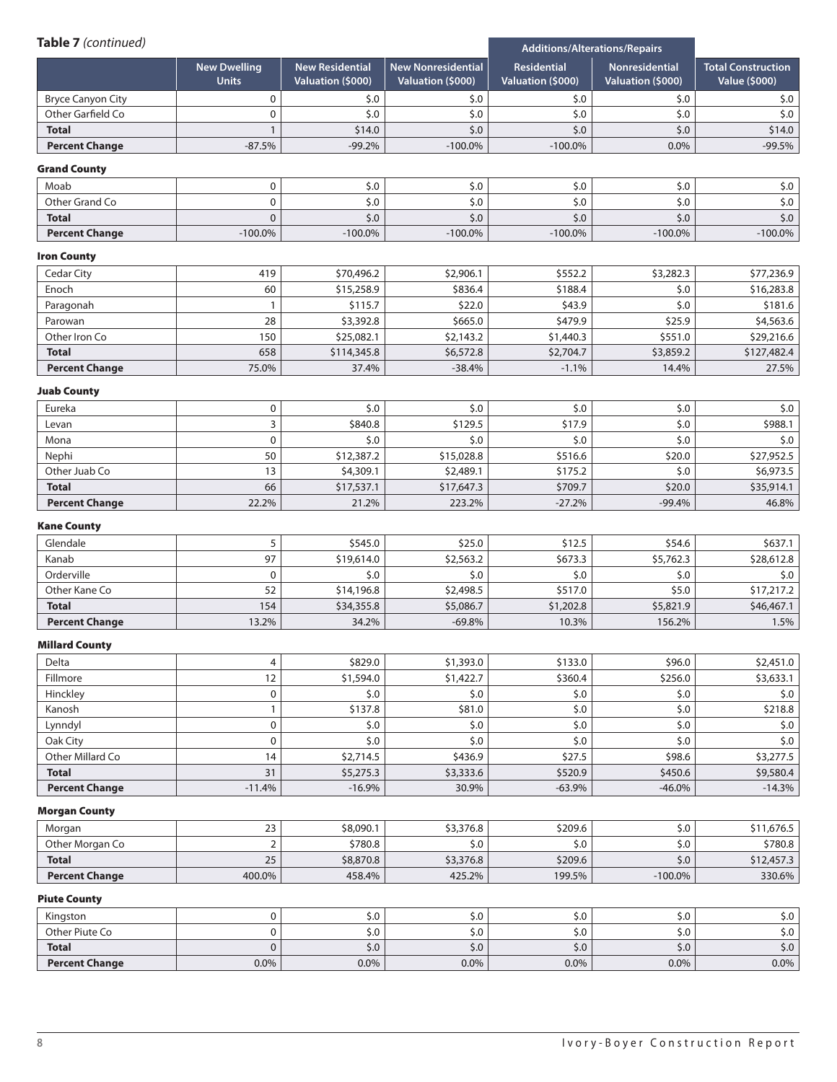| Table 7 (continued)      |                                     |                                             |                                                | Additions/Alterations/Repairs           |                                            |                                            |
|--------------------------|-------------------------------------|---------------------------------------------|------------------------------------------------|-----------------------------------------|--------------------------------------------|--------------------------------------------|
|                          | <b>New Dwelling</b><br><b>Units</b> | <b>New Residential</b><br>Valuation (\$000) | <b>New Nonresidential</b><br>Valuation (\$000) | <b>Residential</b><br>Valuation (\$000) | <b>Nonresidential</b><br>Valuation (\$000) | <b>Total Construction</b><br>Value (\$000) |
| <b>Bryce Canyon City</b> | 0                                   | \$.0                                        | \$.0                                           | \$.0                                    | \$.0                                       | \$.0                                       |
| Other Garfield Co        | $\mathbf 0$                         | \$.0                                        | \$.0                                           | \$.0                                    | \$.0                                       | \$.0                                       |
| <b>Total</b>             | $\mathbf{1}$                        | \$14.0                                      | $$.0$                                          | \$.0                                    | \$.0                                       | \$14.0                                     |
| <b>Percent Change</b>    | $-87.5%$                            | $-99.2%$                                    | $-100.0\%$                                     | $-100.0\%$                              | 0.0%                                       | $-99.5%$                                   |
| <b>Grand County</b>      |                                     |                                             |                                                |                                         |                                            |                                            |
| Moab                     | 0                                   | \$.0                                        | \$.0                                           | \$.0                                    | \$.0                                       | \$.0                                       |
| Other Grand Co           | 0                                   | \$.0                                        | \$.0                                           | \$.0                                    | \$.0                                       | $$.0$                                      |
| <b>Total</b>             | 0                                   | \$.0                                        | \$.0                                           | \$.0                                    | \$.0                                       | \$.0                                       |
| <b>Percent Change</b>    | $-100.0%$                           | $-100.0%$                                   | $-100.0\%$                                     | $-100.0\%$                              | $-100.0\%$                                 | $-100.0\%$                                 |
| <b>Iron County</b>       |                                     |                                             |                                                |                                         |                                            |                                            |
| Cedar City               | 419                                 | \$70,496.2                                  | \$2,906.1                                      | \$552.2                                 | \$3,282.3                                  | \$77,236.9                                 |
| Enoch                    | 60                                  | \$15,258.9                                  | \$836.4                                        | \$188.4                                 | \$.0                                       | \$16,283.8                                 |
| Paragonah                | $\mathbf{1}$                        | \$115.7                                     | \$22.0                                         | \$43.9                                  | $$.0$                                      | \$181.6                                    |
| Parowan                  | 28                                  | \$3,392.8                                   | \$665.0                                        | \$479.9                                 | \$25.9                                     | \$4,563.6                                  |
| Other Iron Co            | 150                                 | \$25,082.1                                  | \$2,143.2                                      | \$1,440.3                               | \$551.0                                    | \$29,216.6                                 |
| <b>Total</b>             | 658                                 | \$114,345.8                                 | \$6,572.8                                      | \$2,704.7                               | \$3,859.2                                  | \$127,482.4                                |
| <b>Percent Change</b>    | 75.0%                               | 37.4%                                       | $-38.4%$                                       | $-1.1%$                                 | 14.4%                                      | 27.5%                                      |
| <b>Juab County</b>       |                                     |                                             |                                                |                                         |                                            |                                            |
| Eureka                   | 0                                   | \$.0                                        | \$.0                                           | \$.0                                    | \$.0                                       | \$.0                                       |
| Levan                    | 3                                   | \$840.8                                     | \$129.5                                        | \$17.9                                  | \$.0                                       | \$988.1                                    |
| Mona                     | $\pmb{0}$                           | \$.0                                        | \$.0                                           | \$.0                                    | \$.0                                       | \$.0                                       |
| Nephi                    | 50                                  | \$12,387.2                                  | \$15,028.8                                     | \$516.6                                 | \$20.0                                     | \$27,952.5                                 |
| Other Juab Co            | 13                                  | \$4,309.1                                   | \$2,489.1                                      | \$175.2                                 | \$.0                                       | \$6,973.5                                  |
| <b>Total</b>             | 66                                  | \$17,537.1                                  | \$17,647.3                                     | \$709.7                                 | \$20.0                                     | \$35,914.1                                 |
| <b>Percent Change</b>    | 22.2%                               | 21.2%                                       | 223.2%                                         | $-27.2%$                                | $-99.4%$                                   | 46.8%                                      |
| <b>Kane County</b>       |                                     |                                             |                                                |                                         |                                            |                                            |
| Glendale                 | 5                                   | \$545.0                                     | \$25.0                                         | \$12.5                                  | \$54.6                                     | \$637.1                                    |
| Kanab                    | 97                                  | \$19,614.0                                  | \$2,563.2                                      | \$673.3                                 | \$5,762.3                                  | \$28,612.8                                 |
| Orderville               | $\mathbf 0$                         | \$.0                                        | \$.0                                           | \$.0                                    | \$.0                                       | \$.0                                       |
| Other Kane Co            | 52                                  | \$14,196.8                                  | \$2,498.5                                      | \$517.0                                 | \$5.0                                      | \$17,217.2                                 |
| <b>Total</b>             | 154                                 | \$34,355.8                                  | \$5,086.7                                      | \$1,202.8                               | \$5,821.9                                  | \$46,467.1                                 |
| <b>Percent Change</b>    | 13.2%                               | 34.2%                                       | $-69.8%$                                       | 10.3%                                   | 156.2%                                     | 1.5%                                       |
| <b>Millard County</b>    |                                     |                                             |                                                |                                         |                                            |                                            |
| Delta                    | 4                                   | \$829.0                                     | \$1,393.0                                      | \$133.0                                 | \$96.0                                     | \$2,451.0                                  |
| Fillmore                 | 12                                  | \$1,594.0                                   | \$1,422.7                                      | \$360.4                                 | \$256.0                                    | \$3,633.1                                  |
| Hinckley                 | 0                                   | \$.0                                        | \$.0\$                                         | \$.0                                    | \$.0                                       | \$.0                                       |
| Kanosh                   | 1                                   | \$137.8                                     | \$81.0                                         | \$.0                                    | \$.0                                       | \$218.8                                    |
| Lynndyl                  | 0                                   | \$.0                                        | \$.0                                           | \$.0                                    | \$.0                                       | \$.0                                       |
| Oak City                 | 0                                   | \$.0                                        | \$.0\$                                         | \$.0\$                                  | \$.0\$                                     | \$.0                                       |
| Other Millard Co         | 14                                  | \$2,714.5                                   | \$436.9                                        | \$27.5                                  | \$98.6                                     | \$3,277.5                                  |
| <b>Total</b>             | 31                                  | \$5,275.3                                   | \$3,333.6                                      | \$520.9                                 | \$450.6                                    | \$9,580.4                                  |
| <b>Percent Change</b>    | $-11.4%$                            | $-16.9%$                                    | 30.9%                                          | $-63.9%$                                | $-46.0%$                                   | $-14.3%$                                   |
| <b>Morgan County</b>     |                                     |                                             |                                                |                                         |                                            |                                            |
| Morgan                   | 23                                  | \$8,090.1                                   | \$3,376.8                                      | \$209.6                                 | \$.0                                       | \$11,676.5                                 |
| Other Morgan Co          | $\overline{2}$                      | \$780.8                                     | \$.0\$                                         | \$.0                                    | \$.0\$                                     | \$780.8                                    |
| <b>Total</b>             | 25                                  | \$8,870.8                                   | \$3,376.8                                      | \$209.6                                 | \$.0                                       | \$12,457.3                                 |
| <b>Percent Change</b>    | 400.0%                              | 458.4%                                      | 425.2%                                         | 199.5%                                  | $-100.0\%$                                 | 330.6%                                     |
| <b>Piute County</b>      |                                     |                                             |                                                |                                         |                                            |                                            |
| Kingston                 | 0                                   | \$.0                                        | \$.0                                           | \$.0                                    | \$.0\$                                     | \$.0                                       |
| Other Piute Co           | 0                                   | \$.0                                        | \$.0                                           | \$.0                                    | \$.0\$                                     | \$.0                                       |
| <b>Total</b>             | $\mathbf 0$                         | \$.0                                        | \$.0\$                                         | \$.0                                    | \$.0\$                                     | \$.0                                       |
| <b>Percent Change</b>    | 0.0%                                | 0.0%                                        | $0.0\%$                                        | $0.0\%$                                 | $0.0\%$                                    | $0.0\%$                                    |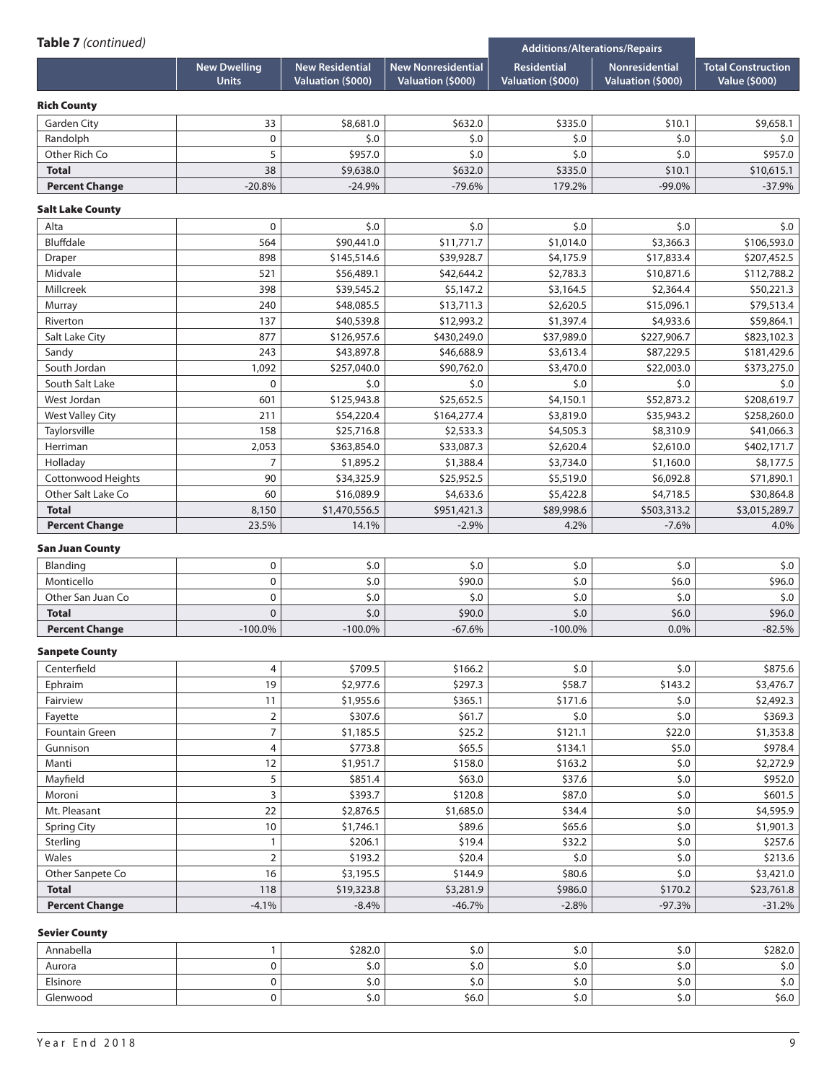| Table 7 (continued)                   |                                     |                                             |                                                | <b>Additions/Alterations/Repairs</b>    |                                            |                                            |
|---------------------------------------|-------------------------------------|---------------------------------------------|------------------------------------------------|-----------------------------------------|--------------------------------------------|--------------------------------------------|
|                                       | <b>New Dwelling</b><br><b>Units</b> | <b>New Residential</b><br>Valuation (\$000) | <b>New Nonresidential</b><br>Valuation (\$000) | <b>Residential</b><br>Valuation (\$000) | <b>Nonresidential</b><br>Valuation (\$000) | <b>Total Construction</b><br>Value (\$000) |
| <b>Rich County</b>                    |                                     |                                             |                                                |                                         |                                            |                                            |
| <b>Garden City</b>                    | 33                                  | \$8,681.0                                   | \$632.0                                        | \$335.0                                 | \$10.1                                     | \$9,658.1                                  |
| Randolph                              | $\mathbf 0$                         | 5.0                                         | \$.0                                           | \$.0                                    | \$.0                                       | \$.0                                       |
| Other Rich Co                         | 5                                   | \$957.0                                     | \$.0                                           | \$.0                                    | \$.0                                       | \$957.0                                    |
| <b>Total</b>                          | 38                                  | \$9,638.0                                   | \$632.0                                        | \$335.0                                 | \$10.1                                     | \$10,615.1                                 |
| <b>Percent Change</b>                 | $-20.8%$                            | $-24.9%$                                    | $-79.6%$                                       | 179.2%                                  | $-99.0%$                                   | $-37.9%$                                   |
| <b>Salt Lake County</b>               |                                     |                                             |                                                |                                         |                                            |                                            |
| Alta                                  | $\mathbf 0$                         | \$.0                                        | \$.0                                           | \$.0                                    | \$.0                                       | \$.0                                       |
| <b>Bluffdale</b>                      | 564                                 | \$90,441.0                                  | \$11,771.7                                     | \$1,014.0                               | \$3,366.3                                  | \$106,593.0                                |
| Draper                                | 898                                 | \$145,514.6                                 | \$39,928.7                                     | \$4,175.9                               | \$17,833.4                                 | \$207,452.5                                |
| Midvale                               | 521                                 | \$56,489.1                                  | \$42,644.2                                     | \$2,783.3                               | \$10,871.6                                 | \$112,788.2                                |
| Millcreek                             | 398                                 | \$39,545.2                                  | \$5,147.2                                      | \$3,164.5                               | \$2,364.4                                  | \$50,221.3                                 |
| Murray                                | 240                                 | \$48,085.5                                  | \$13,711.3                                     | \$2,620.5                               | \$15,096.1                                 | \$79,513.4                                 |
| Riverton                              | 137                                 | \$40,539.8                                  | \$12,993.2                                     | \$1,397.4                               | \$4,933.6                                  | \$59,864.1                                 |
| Salt Lake City                        | 877                                 | \$126,957.6                                 | \$430,249.0                                    | \$37,989.0                              | \$227,906.7                                | \$823,102.3                                |
| Sandy                                 | 243                                 | \$43,897.8                                  | \$46,688.9                                     | \$3,613.4                               | \$87,229.5                                 | \$181,429.6                                |
| South Jordan                          | 1,092                               | \$257,040.0                                 | \$90,762.0                                     | \$3,470.0                               | \$22,003.0                                 | \$373,275.0                                |
| South Salt Lake                       | $\mathbf 0$                         | \$.0                                        | \$.0                                           | \$.0                                    | \$.0                                       | \$.0                                       |
| West Jordan                           | 601                                 | \$125,943.8                                 | \$25,652.5                                     | \$4,150.1                               | \$52,873.2                                 | \$208,619.7                                |
| <b>West Valley City</b>               | 211                                 | \$54,220.4                                  | \$164,277.4                                    | \$3,819.0                               | \$35,943.2                                 | \$258,260.0                                |
| Taylorsville                          | 158                                 | \$25,716.8                                  | \$2,533.3                                      | \$4,505.3                               | \$8,310.9                                  | \$41,066.3                                 |
| Herriman                              | 2,053                               | \$363,854.0                                 | \$33,087.3                                     | \$2,620.4                               | \$2,610.0                                  | \$402,171.7                                |
| Holladay                              | $\overline{7}$                      | \$1,895.2                                   | \$1,388.4                                      | \$3,734.0                               | \$1,160.0                                  | \$8,177.5                                  |
| <b>Cottonwood Heights</b>             | 90                                  | \$34,325.9                                  | \$25,952.5                                     | \$5,519.0                               | \$6,092.8                                  | \$71,890.1                                 |
| Other Salt Lake Co                    | 60                                  | \$16,089.9                                  | \$4,633.6                                      | \$5,422.8                               | \$4,718.5                                  | \$30,864.8                                 |
|                                       |                                     |                                             |                                                |                                         |                                            |                                            |
| <b>Total</b><br><b>Percent Change</b> | 8,150<br>23.5%                      | \$1,470,556.5<br>14.1%                      | \$951,421.3<br>$-2.9%$                         | \$89,998.6<br>4.2%                      | \$503,313.2<br>$-7.6%$                     | \$3,015,289.7<br>4.0%                      |
|                                       |                                     |                                             |                                                |                                         |                                            |                                            |
| <b>San Juan County</b><br>Blanding    | 0                                   | \$.0                                        | \$.0                                           | \$.0                                    | \$.0                                       | $$.0$                                      |
| Monticello                            | $\mathbf 0$                         | \$.0                                        | \$90.0                                         | \$.0                                    | \$6.0                                      | \$96.0                                     |
| Other San Juan Co                     | $\pmb{0}$                           | \$.0                                        | \$.0                                           | \$.0                                    | \$.0                                       | \$.0                                       |
| <b>Total</b>                          | $\mathbf 0$                         | \$.0                                        | \$90.0                                         | \$.0                                    | \$6.0                                      | \$96.0                                     |
| <b>Percent Change</b>                 | $-100.0\%$                          | $-100.0\%$                                  | $-67.6%$                                       | $-100.0\%$                              | 0.0%                                       | $-82.5%$                                   |
| <b>Sanpete County</b>                 |                                     |                                             |                                                |                                         |                                            |                                            |
| Centerfield                           | 4                                   | \$709.5                                     | \$166.2                                        | \$.0                                    | \$.0                                       | \$875.6                                    |
| Ephraim                               | 19                                  | \$2,977.6                                   | \$297.3                                        | \$58.7                                  | \$143.2                                    | \$3,476.7                                  |
| Fairview                              | 11                                  | \$1,955.6                                   | \$365.1                                        | \$171.6                                 | \$.0                                       | \$2,492.3                                  |
| Fayette                               | $\overline{2}$                      | \$307.6                                     | \$61.7                                         | \$.0                                    | \$.0                                       | \$369.3                                    |
| Fountain Green                        | $\overline{7}$                      | \$1,185.5                                   | \$25.2                                         | \$121.1                                 | \$22.0                                     | \$1,353.8                                  |
| Gunnison                              | $\overline{4}$                      | \$773.8                                     | \$65.5                                         | \$134.1                                 | \$5.0                                      | \$978.4                                    |
| Manti                                 | 12                                  | \$1,951.7                                   | \$158.0                                        | \$163.2                                 | \$.0                                       | \$2,272.9                                  |
| Mayfield                              | 5                                   | \$851.4                                     | \$63.0                                         | \$37.6                                  | $$.0$                                      | \$952.0                                    |
| Moroni                                | 3                                   | \$393.7                                     | \$120.8                                        | \$87.0                                  | $$.0$                                      | \$601.5                                    |
| Mt. Pleasant                          | 22                                  | \$2,876.5                                   | \$1,685.0                                      | \$34.4                                  | \$.0                                       | \$4,595.9                                  |
| <b>Spring City</b>                    | 10                                  | \$1,746.1                                   | \$89.6                                         | \$65.6                                  | $$.0$                                      | \$1,901.3                                  |
| Sterling                              | $\mathbf{1}$                        | \$206.1                                     | \$19.4                                         | \$32.2                                  | \$.0                                       | \$257.6                                    |
| Wales                                 | $\overline{2}$                      | \$193.2                                     | \$20.4                                         | \$.0                                    | \$.0                                       | \$213.6                                    |
| Other Sanpete Co                      | 16                                  | \$3,195.5                                   | \$144.9                                        | \$80.6                                  | \$.0                                       | \$3,421.0                                  |
| <b>Total</b>                          | 118                                 | \$19,323.8                                  | \$3,281.9                                      | \$986.0                                 | \$170.2                                    | \$23,761.8                                 |
| <b>Percent Change</b>                 | $-4.1%$                             | $-8.4%$                                     | $-46.7%$                                       | $-2.8%$                                 | $-97.3%$                                   | $-31.2%$                                   |
|                                       |                                     |                                             |                                                |                                         |                                            |                                            |
| <b>Sevier County</b>                  |                                     |                                             |                                                |                                         |                                            |                                            |

| Annabella | \$282.0 | $\sim$<br>J.U | J.U | J.U | \$282.0 |
|-----------|---------|---------------|-----|-----|---------|
| Aurora    | J.U     | .JV           | J.U | J.U | ₹.∪     |
| Elsinore  | J.U     | .JV           | J.U | .v  | J.U     |
| Glenwood  | S.U     | \$6.0         | J.U | .JU | \$6.0   |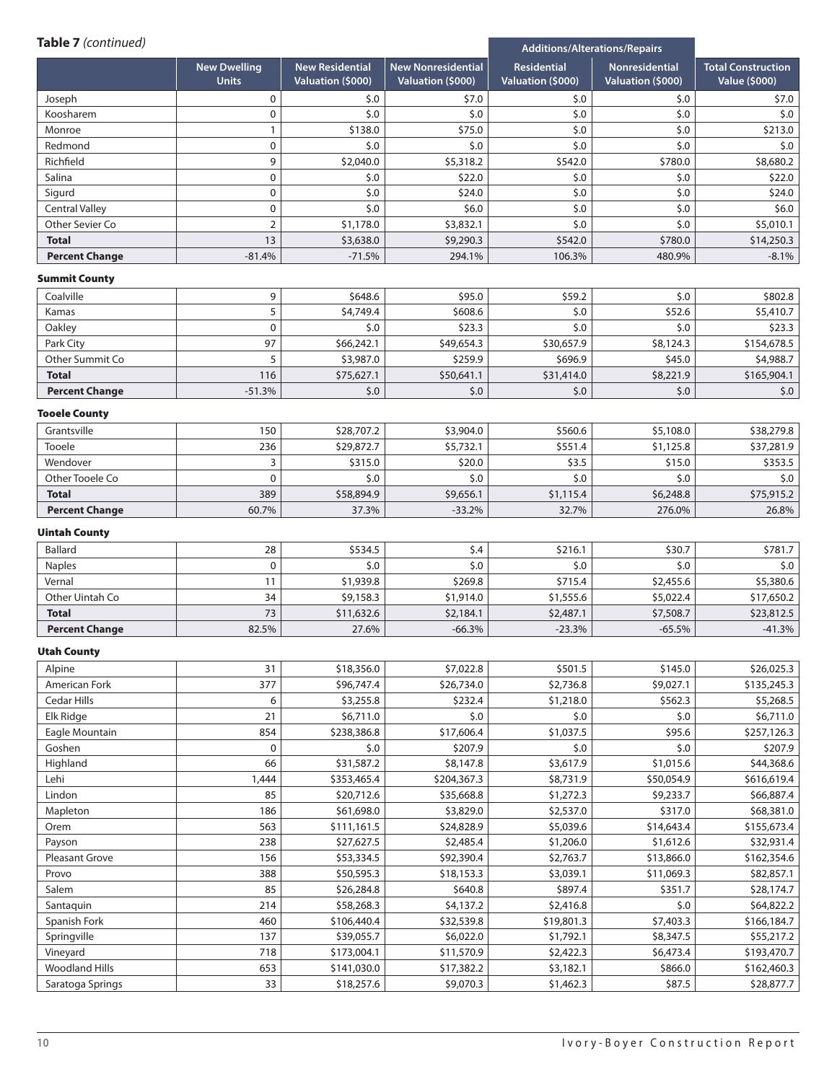# **Table 7** *(continued)*

| <b>lable /</b> (continued)          |                                     |                                             |                                                | Additions/Alterations/Repairs           |                                     |                                            |
|-------------------------------------|-------------------------------------|---------------------------------------------|------------------------------------------------|-----------------------------------------|-------------------------------------|--------------------------------------------|
|                                     | <b>New Dwelling</b><br><b>Units</b> | <b>New Residential</b><br>Valuation (\$000) | <b>New Nonresidential</b><br>Valuation (\$000) | <b>Residential</b><br>Valuation (\$000) | Nonresidential<br>Valuation (\$000) | <b>Total Construction</b><br>Value (\$000) |
| Joseph                              | $\mathbf 0$                         | \$.0                                        | \$7.0                                          | \$.0                                    | \$.0                                | \$7.0                                      |
| Koosharem                           | $\mathbf 0$                         | 5.0                                         | \$.0                                           | \$.0                                    | \$.0                                | \$.0                                       |
| Monroe                              | $\mathbf{1}$                        | \$138.0                                     | \$75.0                                         | \$.0                                    | \$.0                                | \$213.0                                    |
| Redmond                             | $\pmb{0}$                           | \$.0                                        | \$.0                                           | \$.0                                    | \$.0                                | \$.0                                       |
| Richfield                           | 9                                   | \$2,040.0                                   | \$5,318.2                                      | \$542.0                                 | \$780.0                             | \$8,680.2                                  |
| Salina                              | 0                                   | \$.0                                        | \$22.0                                         | \$.0                                    | \$.0                                | \$22.0                                     |
| Sigurd                              | $\mathbf 0$                         | \$.0                                        | \$24.0                                         | \$.0                                    | \$.0                                | \$24.0                                     |
| <b>Central Valley</b>               | $\mathbf 0$                         | \$.0                                        | \$6.0                                          | \$.0                                    | \$.0                                | \$6.0\$                                    |
| Other Sevier Co                     | $\overline{2}$                      | \$1,178.0                                   | \$3,832.1                                      | \$.0                                    | \$.0                                | \$5,010.1                                  |
| <b>Total</b>                        | 13                                  | \$3,638.0                                   | \$9,290.3                                      | \$542.0                                 | \$780.0                             | \$14,250.3                                 |
| <b>Percent Change</b>               | $-81.4%$                            | $-71.5%$                                    | 294.1%                                         | 106.3%                                  | 480.9%                              | $-8.1%$                                    |
| <b>Summit County</b>                |                                     |                                             |                                                |                                         |                                     |                                            |
| Coalville                           | 9                                   | \$648.6                                     | \$95.0                                         | \$59.2                                  | \$.0                                | \$802.8                                    |
| Kamas                               | 5                                   | \$4,749.4                                   | \$608.6                                        | \$.0                                    | \$52.6                              | \$5,410.7                                  |
| Oakley                              | $\mathbf 0$                         | 5.0                                         | \$23.3                                         | \$.0                                    | \$.0                                | \$23.3                                     |
| Park City                           | 97                                  | \$66,242.1                                  | \$49,654.3                                     | \$30,657.9                              | \$8,124.3                           | \$154,678.5                                |
| Other Summit Co                     | 5                                   | \$3,987.0                                   | \$259.9                                        | \$696.9                                 | \$45.0                              | \$4,988.7                                  |
| <b>Total</b>                        | 116                                 | \$75,627.1                                  | \$50,641.1                                     | \$31,414.0                              | \$8,221.9                           | \$165,904.1                                |
| <b>Percent Change</b>               | $-51.3%$                            | \$.0                                        | \$.0                                           | \$.0                                    | \$.0                                | \$.0                                       |
|                                     |                                     |                                             |                                                |                                         |                                     |                                            |
| <b>Tooele County</b><br>Grantsville | 150                                 | \$28,707.2                                  | \$3,904.0                                      | \$560.6                                 | \$5,108.0                           | \$38,279.8                                 |
| Tooele                              | 236                                 | \$29,872.7                                  | \$5,732.1                                      | \$551.4                                 | \$1,125.8                           | \$37,281.9                                 |
| Wendover                            | 3                                   | \$315.0                                     | \$20.0                                         | \$3.5                                   | \$15.0                              | \$353.5                                    |
| Other Tooele Co                     | $\pmb{0}$                           | \$.0                                        | \$.0                                           | \$.0                                    | \$.0                                | \$.0                                       |
| <b>Total</b>                        | 389                                 | \$58,894.9                                  | \$9,656.1                                      | \$1,115.4                               | \$6,248.8                           | \$75,915.2                                 |
| <b>Percent Change</b>               | 60.7%                               | 37.3%                                       | $-33.2%$                                       | 32.7%                                   | 276.0%                              | 26.8%                                      |
|                                     |                                     |                                             |                                                |                                         |                                     |                                            |
| <b>Uintah County</b>                |                                     |                                             |                                                |                                         |                                     |                                            |
| Ballard                             | 28                                  | \$534.5                                     | \$.4                                           | \$216.1                                 | \$30.7                              | \$781.7                                    |
| <b>Naples</b>                       | $\mathbf 0$                         | \$.0                                        | \$.0                                           | \$.0                                    | \$.0                                | \$.0                                       |
| Vernal                              | 11                                  | \$1,939.8                                   | \$269.8                                        | \$715.4                                 | \$2,455.6                           | \$5,380.6                                  |
| Other Uintah Co                     | 34                                  | \$9,158.3                                   | \$1,914.0                                      | \$1,555.6                               | \$5,022.4                           | \$17,650.2                                 |
| <b>Total</b>                        | 73                                  | \$11,632.6                                  | \$2,184.1                                      | \$2,487.1                               | \$7,508.7                           | \$23,812.5                                 |
| <b>Percent Change</b>               | 82.5%                               | 27.6%                                       | $-66.3%$                                       | $-23.3%$                                | $-65.5%$                            | $-41.3%$                                   |
| <b>Utah County</b>                  |                                     |                                             |                                                |                                         |                                     |                                            |
| Alpine                              | 31                                  | \$18,356.0                                  | \$7,022.8                                      | \$501.5                                 | \$145.0                             | \$26,025.3                                 |
| American Fork                       | 377                                 | \$96,747.4                                  | \$26,734.0                                     | \$2,736.8                               | \$9,027.1                           | \$135,245.3                                |
| Cedar Hills                         | 6                                   | \$3,255.8                                   | \$232.4                                        | \$1,218.0                               | \$562.3                             | \$5,268.5                                  |
| Elk Ridge                           | 21                                  | \$6,711.0                                   | \$.0                                           | \$.0                                    | \$.0                                | \$6,711.0                                  |
| Eagle Mountain                      | 854                                 | \$238,386.8                                 | \$17,606.4                                     | \$1,037.5                               | \$95.6                              | \$257,126.3                                |
| Goshen                              | $\mathbf 0$                         | \$.0                                        | \$207.9                                        | \$.0                                    | \$.0                                | \$207.9                                    |
| Highland                            | 66                                  | \$31,587.2                                  | \$8,147.8                                      | \$3,617.9                               | \$1,015.6                           | \$44,368.6                                 |
| Lehi                                | 1,444                               | \$353,465.4                                 | \$204,367.3                                    | \$8,731.9                               | \$50,054.9                          | \$616,619.4                                |
| Lindon                              | 85                                  | \$20,712.6                                  | \$35,668.8                                     | \$1,272.3                               | \$9,233.7                           | \$66,887.4                                 |
| Mapleton                            | 186                                 | \$61,698.0                                  | \$3,829.0                                      | \$2,537.0                               | \$317.0                             | \$68,381.0                                 |
| Orem                                | 563                                 | \$111,161.5                                 | \$24,828.9                                     | \$5,039.6                               | \$14,643.4                          | \$155,673.4                                |
| Payson                              | 238                                 | \$27,627.5                                  | \$2,485.4                                      | \$1,206.0                               | \$1,612.6                           | \$32,931.4                                 |
| Pleasant Grove                      | 156                                 | \$53,334.5                                  | \$92,390.4                                     | \$2,763.7                               | \$13,866.0                          | \$162,354.6                                |
| Provo                               | 388                                 | \$50,595.3                                  | \$18,153.3                                     | \$3,039.1                               | \$11,069.3                          | \$82,857.1                                 |
| Salem                               | 85                                  | \$26,284.8                                  | \$640.8                                        | \$897.4                                 | \$351.7                             | \$28,174.7                                 |
| Santaquin                           | 214                                 | \$58,268.3                                  | \$4,137.2                                      | \$2,416.8                               | \$.0                                | \$64,822.2                                 |
| Spanish Fork                        | 460                                 | \$106,440.4                                 | \$32,539.8                                     | \$19,801.3                              | \$7,403.3                           | \$166,184.7                                |
| Springville                         | 137                                 | \$39,055.7                                  | \$6,022.0                                      | \$1,792.1                               | \$8,347.5                           | \$55,217.2                                 |
| Vineyard                            | 718                                 | \$173,004.1                                 | \$11,570.9                                     | \$2,422.3                               | \$6,473.4                           | \$193,470.7                                |
| Woodland Hills                      | 653                                 | \$141,030.0                                 | \$17,382.2                                     | \$3,182.1                               | \$866.0                             | \$162,460.3                                |
| Saratoga Springs                    | 33                                  | \$18,257.6                                  | \$9,070.3                                      | \$1,462.3                               | \$87.5                              | \$28,877.7                                 |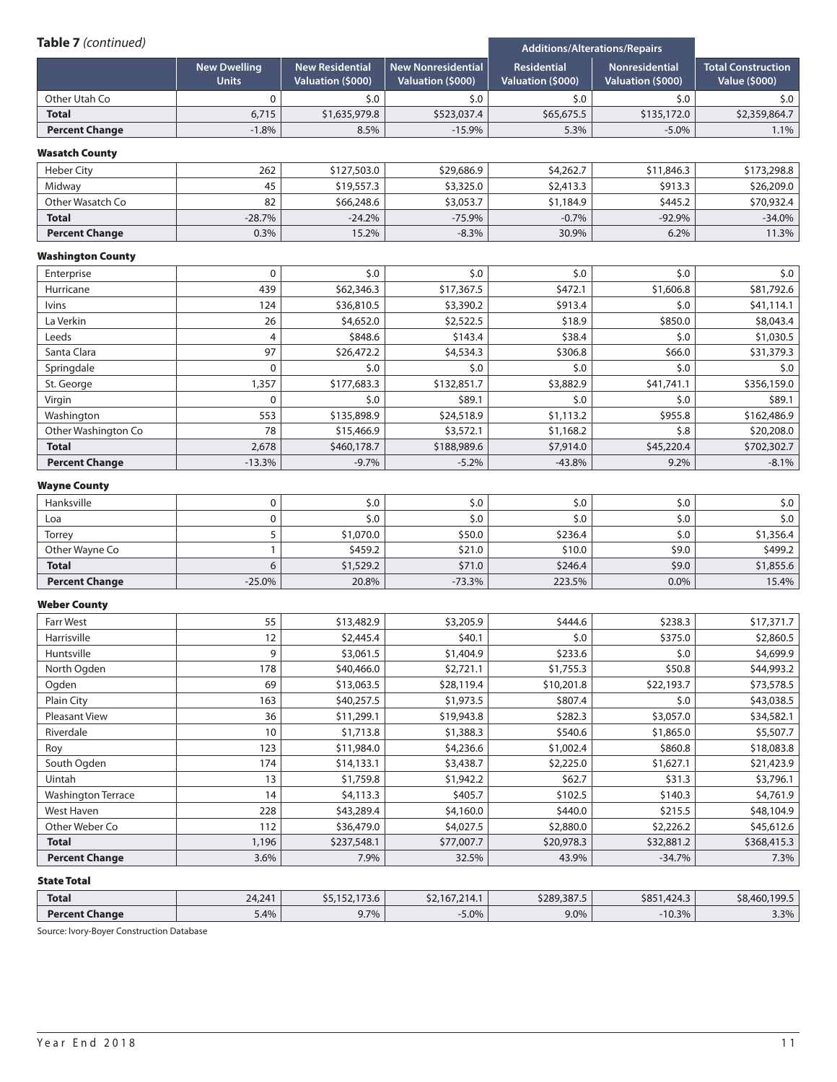# **Table 7** *(continued)*

| $i$ abic <i>I</i> (Continued) |                                     |                                                    |                                                | Additions/Alterations/Repairs    |                                            |                                                   |
|-------------------------------|-------------------------------------|----------------------------------------------------|------------------------------------------------|----------------------------------|--------------------------------------------|---------------------------------------------------|
|                               | <b>New Dwelling</b><br><b>Units</b> | <b>New Residential</b><br><b>Valuation (\$000)</b> | <b>New Nonresidential</b><br>Valuation (\$000) | Residential<br>Valuation (\$000) | <b>Nonresidential</b><br>Valuation (\$000) | <b>Total Construction</b><br><b>Value (\$000)</b> |
| Other Utah Co                 |                                     | \$.0                                               |                                                | \$.0                             | \$.0                                       | <b>S.O</b>                                        |
| <b>Total</b>                  | 6.715                               | \$1,635,979.8                                      | \$523,037.4                                    | \$65,675.5                       | \$135,172.0                                | \$2,359,864.7                                     |
| <b>Percent Change</b>         | $-1.8%$                             | 8.5%                                               | $-15.9%$                                       | 5.3%                             | $-5.0\%$                                   | $1.1\%$                                           |

#### Wasatch County

| <b>Heber City</b>     | 262       | \$127,503.0 | \$29,686.9 | \$4,262.7 | \$11,846.3 | \$173,298.8 |
|-----------------------|-----------|-------------|------------|-----------|------------|-------------|
| Midway                | 45        | \$19,557.3  | \$3,325.0  | \$2,413.3 | \$913.3    | \$26,209.0  |
| Other Wasatch Co      | 82        | \$66,248.6  | \$3,053.7  | \$1,184.9 | \$445.2    | \$70,932.4  |
| <b>Total</b>          | $-28.7\%$ | $-24.2%$    | $-75.9%$   | $-0.7%$   | $-92.9\%$  | $-34.0\%$   |
| <b>Percent Change</b> | $0.3\%$   | 15.2%       | $-8.3%$    | 30.9%     | 6.2%       | 11.3%       |

#### Washington County

| Enterprise            | 0        | \$.0        | \$.0        | \$.0      | \$.0       | \$.0        |
|-----------------------|----------|-------------|-------------|-----------|------------|-------------|
| Hurricane             | 439      | \$62,346.3  | \$17,367.5  | \$472.1   | \$1,606.8  | \$81,792.6  |
| <b>lvins</b>          | 124      | \$36,810.5  | \$3,390.2   | \$913.4   | \$.0       | \$41,114.1  |
| La Verkin             | 26       | \$4,652.0   | \$2,522.5   | \$18.9    | \$850.0    | \$8,043.4   |
| Leeds                 | 4        | \$848.6     | \$143.4     | \$38.4    | \$.0       | \$1,030.5   |
| Santa Clara           | 97       | \$26,472.2  | \$4,534.3   | \$306.8   | \$66.0     | \$31,379.3  |
| Springdale            | $\Omega$ | \$.0        | 5.0         | 5.0       | 5.0        | 5.0         |
| St. George            | 1,357    | \$177,683.3 | \$132,851.7 | \$3,882.9 | \$41,741.1 | \$356,159.0 |
| Virgin                | 0        | \$.0        | \$89.1      | \$.0      | \$.0       | \$89.1      |
| Washington            | 553      | \$135,898.9 | \$24,518.9  | \$1,113.2 | \$955.8    | \$162,486.9 |
| Other Washington Co   | 78       | \$15,466.9  | \$3,572.1   | \$1,168.2 | 5.8        | \$20,208.0  |
| <b>Total</b>          | 2,678    | \$460,178.7 | \$188,989.6 | \$7,914.0 | \$45,220.4 | \$702,302.7 |
| <b>Percent Change</b> | $-13.3%$ | $-9.7%$     | $-5.2%$     | $-43.8%$  | 9.2%       | $-8.1%$     |

#### Wayne County

| Hanksville            |           | \$.0      | \$.0     | \$.0          | \$.0  | \$.0      |
|-----------------------|-----------|-----------|----------|---------------|-------|-----------|
| Loa                   |           | \$.0      | \$.0     | $5.0^{\circ}$ | \$.0  | \$.0      |
| Torrey                |           | \$1,070.0 | \$50.0   | \$236.4       | \$.0  | \$1,356.4 |
| Other Wavne Co        |           | \$459.2   | \$21.0   | \$10.0        | \$9.0 | \$499.2   |
| <b>Total</b>          |           | \$1,529.2 | \$71.0   | \$246.4       | \$9.0 | \$1,855.6 |
| <b>Percent Change</b> | $-25.0\%$ | 20.8%     | $-73.3%$ | 223.5%        | 0.0%  | 15.4%     |

#### Weber County

| <b>Farr West</b>          | 55    | \$13,482.9  | \$3,205.9  | \$444.6    | \$238.3    | \$17,371.7  |
|---------------------------|-------|-------------|------------|------------|------------|-------------|
| Harrisville               | 12    | \$2,445.4   | \$40.1     | \$.0       | \$375.0    | \$2,860.5   |
| Huntsville                | 9     | \$3,061.5   | \$1,404.9  | \$233.6    | \$.0       | \$4,699.9   |
| North Ogden               | 178   | \$40,466.0  | \$2,721.1  | \$1,755.3  | \$50.8     | \$44,993.2  |
| Ogden                     | 69    | \$13,063.5  | \$28,119.4 | \$10,201.8 | \$22,193.7 | \$73,578.5  |
| Plain City                | 163   | \$40,257.5  | \$1,973.5  | \$807.4    | \$.0       | \$43,038.5  |
| <b>Pleasant View</b>      | 36    | \$11,299.1  | \$19,943.8 | \$282.3    | \$3,057.0  | \$34,582.1  |
| Riverdale                 | 10    | \$1,713.8   | \$1,388.3  | \$540.6    | \$1,865.0  | \$5,507.7   |
| Roy                       | 123   | \$11,984.0  | \$4,236.6  | \$1,002.4  | \$860.8    | \$18,083.8  |
| South Ogden               | 174   | \$14,133.1  | \$3,438.7  | \$2,225.0  | \$1,627.1  | \$21,423.9  |
| Uintah                    | 13    | \$1,759.8   | \$1,942.2  | \$62.7     | \$31.3     | \$3,796.1   |
| <b>Washington Terrace</b> | 14    | \$4,113.3   | \$405.7    | \$102.5    | \$140.3    | \$4,761.9   |
| West Haven                | 228   | \$43,289.4  | \$4,160.0  | \$440.0    | \$215.5    | \$48,104.9  |
| Other Weber Co            | 112   | \$36,479.0  | \$4,027.5  | \$2,880.0  | \$2,226.2  | \$45,612.6  |
| Total                     | 1,196 | \$237,548.1 | \$77,007.7 | \$20,978.3 | \$32,881.2 | \$368,415.3 |
| <b>Percent Change</b>     | 3.6%  | 7.9%        | 32.5%      | 43.9%      | $-34.7%$   | 7.3%        |
|                           |       |             |            |            |            |             |

#### State Total

| <b>Total</b>        | 24,241  | $1 - 2$<br>5.0 /<br>↩ | $\mathbf{L}$<br>10/2<br><b>T.I</b> | \$289,387.5 | 1,424.3<br>\$851 | \$8,460,199.5    |
|---------------------|---------|-----------------------|------------------------------------|-------------|------------------|------------------|
| Percent<br>: Change | $5.4\%$ | 9.7%                  | $-5.0\%$                           | 9.0%        | $-10.3%$         | 2.201<br>$3.3\%$ |

Source: Ivory-Boyer Construction Database